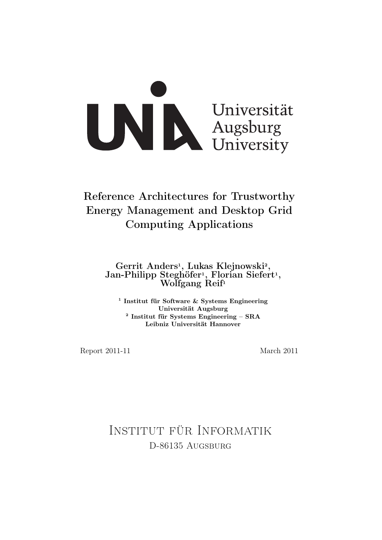

# Reference Architectures for Trustworthy Energy Management and Desktop Grid Computing Applications

Gerrit Anders<sup>1</sup>, Lukas Klejnowski<sup>2</sup>, Jan-Philipp Steghöfer<sup>1</sup>, Florian Siefert<sup>1</sup>, Wolfgang Reif<sup>1</sup>

1 Institut für Software & Systems Engineering Universität Augsburg 2 Institut für Systems Engineering – SRA Leibniz Universität Hannover

Report 2011-11 March 2011

Institut für Informatik D-86135 AUGSBURG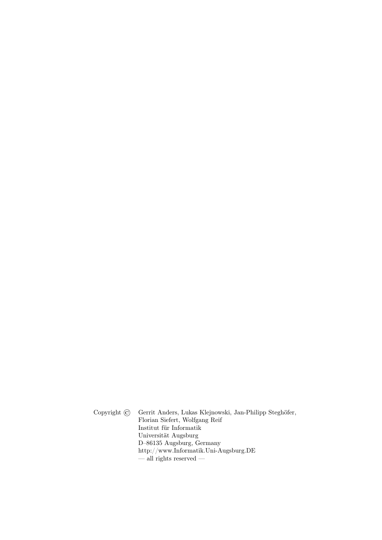Copyright © Gerrit Anders, Lukas Klejnowski, Jan-Philipp Steghöfer, Florian Siefert, Wolfgang Reif Institut für Informatik Universität Augsburg D–86135 Augsburg, Germany http://www.Informatik.Uni-Augsburg.DE  $-\frac{1}{2}$  rights reserved  $-$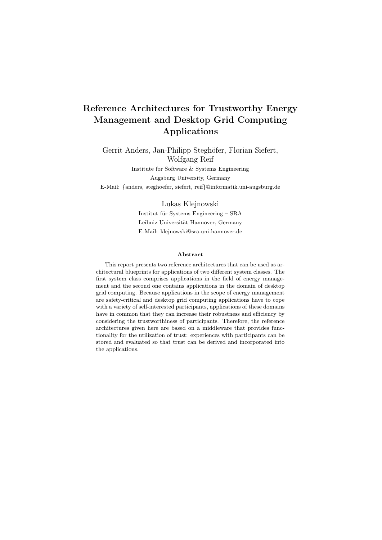## Reference Architectures for Trustworthy Energy Management and Desktop Grid Computing Applications

Gerrit Anders, Jan-Philipp Steghöfer, Florian Siefert, Wolfgang Reif Institute for Software & Systems Engineering Augsburg University, Germany E-Mail: {anders, steghoefer, siefert, reif}@informatik.uni-augsburg.de

#### Lukas Klejnowski

Institut für Systems Engineering – SRA Leibniz Universität Hannover, Germany E-Mail: klejnowski@sra.uni-hannover.de

#### Abstract

This report presents two reference architectures that can be used as architectural blueprints for applications of two different system classes. The first system class comprises applications in the field of energy management and the second one contains applications in the domain of desktop grid computing. Because applications in the scope of energy management are safety-critical and desktop grid computing applications have to cope with a variety of self-interested participants, applications of these domains have in common that they can increase their robustness and efficiency by considering the trustworthiness of participants. Therefore, the reference architectures given here are based on a middleware that provides functionality for the utilization of trust: experiences with participants can be stored and evaluated so that trust can be derived and incorporated into the applications.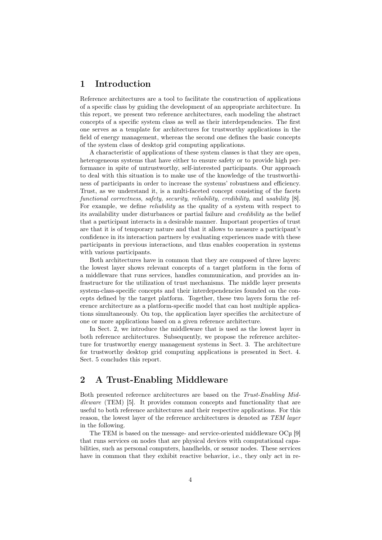### 1 Introduction

Reference architectures are a tool to facilitate the construction of applications of a specific class by guiding the development of an appropriate architecture. In this report, we present two reference architectures, each modeling the abstract concepts of a specific system class as well as their interdependencies. The first one serves as a template for architectures for trustworthy applications in the field of energy management, whereas the second one defines the basic concepts of the system class of desktop grid computing applications.

A characteristic of applications of these system classes is that they are open, heterogeneous systems that have either to ensure safety or to provide high performance in spite of untrustworthy, self-interested participants. Our approach to deal with this situation is to make use of the knowledge of the trustworthiness of participants in order to increase the systems' robustness and efficiency. Trust, as we understand it, is a multi-faceted concept consisting of the facets functional correctness, safety, security, reliability, credibility, and usability [8]. For example, we define reliability as the quality of a system with respect to its availability under disturbances or partial failure and credibility as the belief that a participant interacts in a desirable manner. Important properties of trust are that it is of temporary nature and that it allows to measure a participant's confidence in its interaction partners by evaluating experiences made with these participants in previous interactions, and thus enables cooperation in systems with various participants.

Both architectures have in common that they are composed of three layers: the lowest layer shows relevant concepts of a target platform in the form of a middleware that runs services, handles communication, and provides an infrastructure for the utilization of trust mechanisms. The middle layer presents system-class-specific concepts and their interdependencies founded on the concepts defined by the target platform. Together, these two layers form the reference architecture as a platform-specific model that can host multiple applications simultaneously. On top, the application layer specifies the architecture of one or more applications based on a given reference architecture.

In Sect. 2, we introduce the middleware that is used as the lowest layer in both reference architectures. Subsequently, we propose the reference architecture for trustworthy energy management systems in Sect. 3. The architecture for trustworthy desktop grid computing applications is presented in Sect. 4. Sect. 5 concludes this report.

## 2 A Trust-Enabling Middleware

Both presented reference architectures are based on the Trust-Enabling Middleware (TEM) [5]. It provides common concepts and functionality that are useful to both reference architectures and their respective applications. For this reason, the lowest layer of the reference architectures is denoted as TEM layer in the following.

The TEM is based on the message- and service-oriented middleware OCµ [9] that runs services on nodes that are physical devices with computational capabilities, such as personal computers, handhelds, or sensor nodes. These services have in common that they exhibit reactive behavior, i.e., they only act in re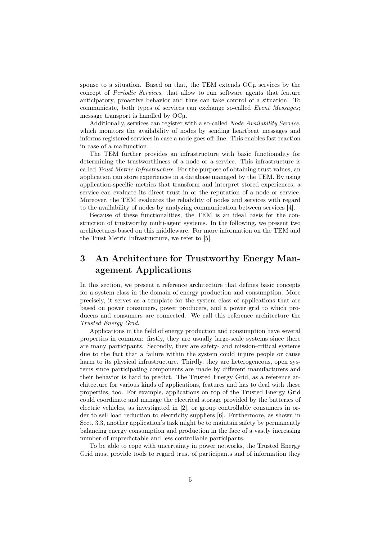sponse to a situation. Based on that, the TEM extends OCµ services by the concept of Periodic Services, that allow to run software agents that feature anticipatory, proactive behavior and thus can take control of a situation. To communicate, both types of services can exchange so-called Event Messages; message transport is handled by OCµ.

Additionally, services can register with a so-called Node Availability Service, which monitors the availability of nodes by sending heartbeat messages and informs registered services in case a node goes off-line. This enables fast reaction in case of a malfunction.

The TEM further provides an infrastructure with basic functionality for determining the trustworthiness of a node or a service. This infrastructure is called Trust Metric Infrastructure. For the purpose of obtaining trust values, an application can store experiences in a database managed by the TEM. By using application-specific metrics that transform and interpret stored experiences, a service can evaluate its direct trust in or the reputation of a node or service. Moreover, the TEM evaluates the reliability of nodes and services with regard to the availability of nodes by analyzing communication between services [4].

Because of these functionalities, the TEM is an ideal basis for the construction of trustworthy multi-agent systems. In the following, we present two architectures based on this middleware. For more information on the TEM and the Trust Metric Infrastructure, we refer to [5].

## 3 An Architecture for Trustworthy Energy Management Applications

In this section, we present a reference architecture that defines basic concepts for a system class in the domain of energy production and consumption. More precisely, it serves as a template for the system class of applications that are based on power consumers, power producers, and a power grid to which producers and consumers are connected. We call this reference architecture the Trusted Energy Grid.

Applications in the field of energy production and consumption have several properties in common: firstly, they are usually large-scale systems since there are many participants. Secondly, they are safety- and mission-critical systems due to the fact that a failure within the system could injure people or cause harm to its physical infrastructure. Thirdly, they are heterogeneous, open systems since participating components are made by different manufacturers and their behavior is hard to predict. The Trusted Energy Grid, as a reference architecture for various kinds of applications, features and has to deal with these properties, too. For example, applications on top of the Trusted Energy Grid could coordinate and manage the electrical storage provided by the batteries of electric vehicles, as investigated in [2], or group controllable consumers in order to sell load reduction to electricity suppliers [6]. Furthermore, as shown in Sect. 3.3, another application's task might be to maintain safety by permanently balancing energy consumption and production in the face of a vastly increasing number of unpredictable and less controllable participants.

To be able to cope with uncertainty in power networks, the Trusted Energy Grid must provide tools to regard trust of participants and of information they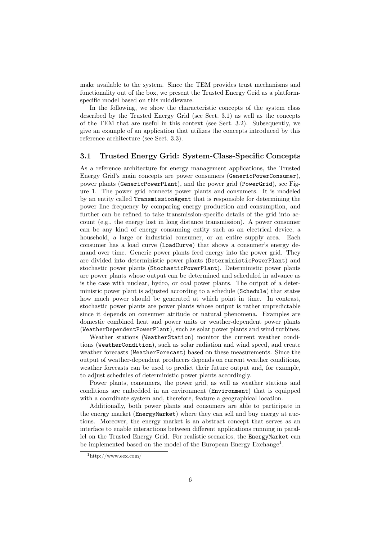make available to the system. Since the TEM provides trust mechanisms and functionality out of the box, we present the Trusted Energy Grid as a platformspecific model based on this middleware.

In the following, we show the characteristic concepts of the system class described by the Trusted Energy Grid (see Sect. 3.1) as well as the concepts of the TEM that are useful in this context (see Sect. 3.2). Subsequently, we give an example of an application that utilizes the concepts introduced by this reference architecture (see Sect. 3.3).

#### 3.1 Trusted Energy Grid: System-Class-Specific Concepts

As a reference architecture for energy management applications, the Trusted Energy Grid's main concepts are power consumers (GenericPowerConsumer), power plants (GenericPowerPlant), and the power grid (PowerGrid), see Figure 1. The power grid connects power plants and consumers. It is modeled by an entity called TransmissionAgent that is responsible for determining the power line frequency by comparing energy production and consumption, and further can be refined to take transmission-specific details of the grid into account (e.g., the energy lost in long distance transmission). A power consumer can be any kind of energy consuming entity such as an electrical device, a household, a large or industrial consumer, or an entire supply area. Each consumer has a load curve (LoadCurve) that shows a consumer's energy demand over time. Generic power plants feed energy into the power grid. They are divided into deterministic power plants (DeterministicPowerPlant) and stochastic power plants (StochasticPowerPlant). Deterministic power plants are power plants whose output can be determined and scheduled in advance as is the case with nuclear, hydro, or coal power plants. The output of a deterministic power plant is adjusted according to a schedule (Schedule) that states how much power should be generated at which point in time. In contrast, stochastic power plants are power plants whose output is rather unpredictable since it depends on consumer attitude or natural phenomena. Examples are domestic combined heat and power units or weather-dependent power plants (WeatherDependentPowerPlant), such as solar power plants and wind turbines.

Weather stations (WeatherStation) monitor the current weather conditions (WeatherCondition), such as solar radiation and wind speed, and create weather forecasts (WeatherForecast) based on these measurements. Since the output of weather-dependent producers depends on current weather conditions, weather forecasts can be used to predict their future output and, for example, to adjust schedules of deterministic power plants accordingly.

Power plants, consumers, the power grid, as well as weather stations and conditions are embedded in an environment (Environment) that is equipped with a coordinate system and, therefore, feature a geographical location.

Additionally, both power plants and consumers are able to participate in the energy market (EnergyMarket) where they can sell and buy energy at auctions. Moreover, the energy market is an abstract concept that serves as an interface to enable interactions between different applications running in parallel on the Trusted Energy Grid. For realistic scenarios, the EnergyMarket can be implemented based on the model of the European Energy Exchange<sup>1</sup>.

<sup>1</sup>http://www.eex.com/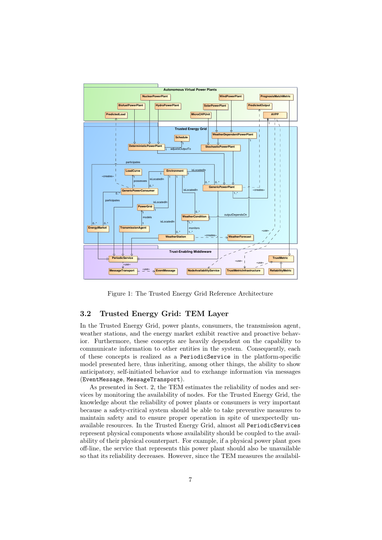

Figure 1: The Trusted Energy Grid Reference Architecture

#### 3.2 Trusted Energy Grid: TEM Layer

In the Trusted Energy Grid, power plants, consumers, the transmission agent, weather stations, and the energy market exhibit reactive and proactive behavior. Furthermore, these concepts are heavily dependent on the capability to communicate information to other entities in the system. Consequently, each of these concepts is realized as a PeriodicService in the platform-specific model presented here, thus inheriting, among other things, the ability to show anticipatory, self-initiated behavior and to exchange information via messages (EventMessage, MessageTransport).

As presented in Sect. 2, the TEM estimates the reliability of nodes and services by monitoring the availability of nodes. For the Trusted Energy Grid, the knowledge about the reliability of power plants or consumers is very important because a safety-critical system should be able to take preventive measures to maintain safety and to ensure proper operation in spite of unexpectedly unavailable resources. In the Trusted Energy Grid, almost all PeriodicServices represent physical components whose availability should be coupled to the availability of their physical counterpart. For example, if a physical power plant goes off-line, the service that represents this power plant should also be unavailable so that its reliability decreases. However, since the TEM measures the availabil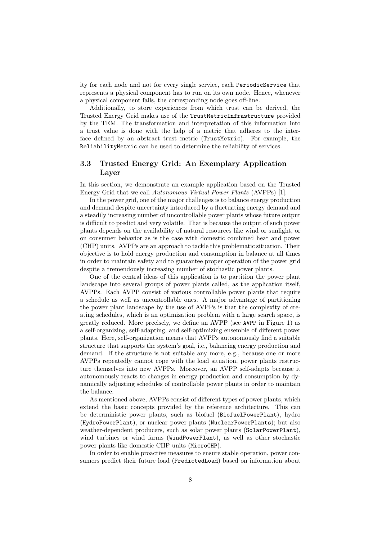ity for each node and not for every single service, each PeriodicService that represents a physical component has to run on its own node. Hence, whenever a physical component fails, the corresponding node goes off-line.

Additionally, to store experiences from which trust can be derived, the Trusted Energy Grid makes use of the TrustMetricInfrastructure provided by the TEM. The transformation and interpretation of this information into a trust value is done with the help of a metric that adheres to the interface defined by an abstract trust metric (TrustMetric). For example, the ReliabilityMetric can be used to determine the reliability of services.

#### 3.3 Trusted Energy Grid: An Exemplary Application Layer

In this section, we demonstrate an example application based on the Trusted Energy Grid that we call Autonomous Virtual Power Plants (AVPPs) [1].

In the power grid, one of the major challenges is to balance energy production and demand despite uncertainty introduced by a fluctuating energy demand and a steadily increasing number of uncontrollable power plants whose future output is difficult to predict and very volatile. That is because the output of such power plants depends on the availability of natural resources like wind or sunlight, or on consumer behavior as is the case with domestic combined heat and power (CHP) units. AVPPs are an approach to tackle this problematic situation. Their objective is to hold energy production and consumption in balance at all times in order to maintain safety and to guarantee proper operation of the power grid despite a tremendously increasing number of stochastic power plants.

One of the central ideas of this application is to partition the power plant landscape into several groups of power plants called, as the application itself, AVPPs. Each AVPP consist of various controllable power plants that require a schedule as well as uncontrollable ones. A major advantage of partitioning the power plant landscape by the use of AVPPs is that the complexity of creating schedules, which is an optimization problem with a large search space, is greatly reduced. More precisely, we define an AVPP (see AVPP in Figure 1) as a self-organizing, self-adapting, and self-optimizing ensemble of different power plants. Here, self-organization means that AVPPs autonomously find a suitable structure that supports the system's goal, i.e., balancing energy production and demand. If the structure is not suitable any more, e.g., because one or more AVPPs repeatedly cannot cope with the load situation, power plants restructure themselves into new AVPPs. Moreover, an AVPP self-adapts because it autonomously reacts to changes in energy production and consumption by dynamically adjusting schedules of controllable power plants in order to maintain the balance.

As mentioned above, AVPPs consist of different types of power plants, which extend the basic concepts provided by the reference architecture. This can be deterministic power plants, such as biofuel (BiofuelPowerPlant), hydro (HydroPowerPlant), or nuclear power plants (NuclearPowerPlants); but also weather-dependent producers, such as solar power plants (SolarPowerPlant), wind turbines or wind farms (WindPowerPlant), as well as other stochastic power plants like domestic CHP units (MicroCHP).

In order to enable proactive measures to ensure stable operation, power consumers predict their future load (PredictedLoad) based on information about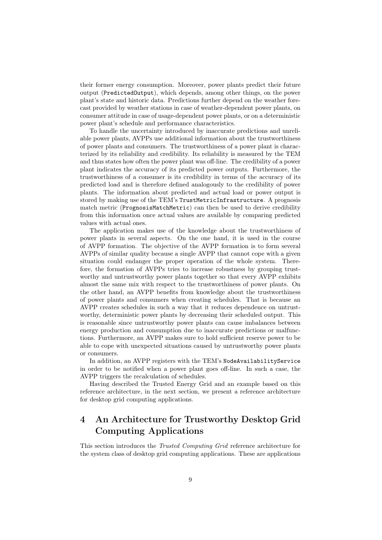their former energy consumption. Moreover, power plants predict their future output (PredictedOutput), which depends, among other things, on the power plant's state and historic data. Predictions further depend on the weather forecast provided by weather stations in case of weather-dependent power plants, on consumer attitude in case of usage-dependent power plants, or on a deterministic power plant's schedule and performance characteristics.

To handle the uncertainty introduced by inaccurate predictions and unreliable power plants, AVPPs use additional information about the trustworthiness of power plants and consumers. The trustworthiness of a power plant is characterized by its reliability and credibility. Its reliability is measured by the TEM and thus states how often the power plant was off-line. The credibility of a power plant indicates the accuracy of its predicted power outputs. Furthermore, the trustworthiness of a consumer is its credibility in terms of the accuracy of its predicted load and is therefore defined analogously to the credibility of power plants. The information about predicted and actual load or power output is stored by making use of the TEM's TrustMetricInfrastructure. A prognosis match metric (PrognosisMatchMetric) can then be used to derive credibility from this information once actual values are available by comparing predicted values with actual ones.

The application makes use of the knowledge about the trustworthiness of power plants in several aspects. On the one hand, it is used in the course of AVPP formation. The objective of the AVPP formation is to form several AVPPs of similar quality because a single AVPP that cannot cope with a given situation could endanger the proper operation of the whole system. Therefore, the formation of AVPPs tries to increase robustness by grouping trustworthy and untrustworthy power plants together so that every AVPP exhibits almost the same mix with respect to the trustworthiness of power plants. On the other hand, an AVPP benefits from knowledge about the trustworthiness of power plants and consumers when creating schedules. That is because an AVPP creates schedules in such a way that it reduces dependence on untrustworthy, deterministic power plants by decreasing their scheduled output. This is reasonable since untrustworthy power plants can cause imbalances between energy production and consumption due to inaccurate predictions or malfunctions. Furthermore, an AVPP makes sure to hold sufficient reserve power to be able to cope with unexpected situations caused by untrustworthy power plants or consumers.

In addition, an AVPP registers with the TEM's NodeAvailabilityService in order to be notified when a power plant goes off-line. In such a case, the AVPP triggers the recalculation of schedules.

Having described the Trusted Energy Grid and an example based on this reference architecture, in the next section, we present a reference architecture for desktop grid computing applications.

## 4 An Architecture for Trustworthy Desktop Grid Computing Applications

This section introduces the Trusted Computing Grid reference architecture for the system class of desktop grid computing applications. These are applications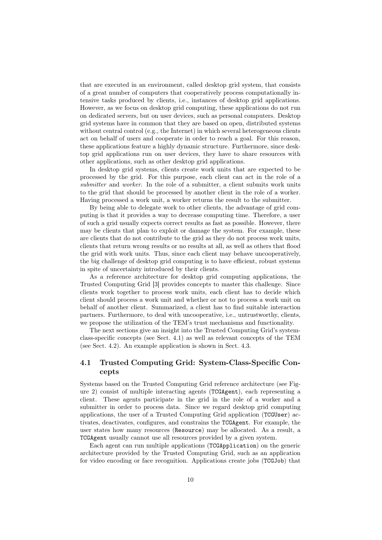that are executed in an environment, called desktop grid system, that consists of a great number of computers that cooperatively process computationally intensive tasks produced by clients, i.e., instances of desktop grid applications. However, as we focus on desktop grid computing, these applications do not run on dedicated servers, but on user devices, such as personal computers. Desktop grid systems have in common that they are based on open, distributed systems without central control (e.g., the Internet) in which several heterogeneous clients act on behalf of users and cooperate in order to reach a goal. For this reason, these applications feature a highly dynamic structure. Furthermore, since desktop grid applications run on user devices, they have to share resources with other applications, such as other desktop grid applications.

In desktop grid systems, clients create work units that are expected to be processed by the grid. For this purpose, each client can act in the role of a submitter and worker. In the role of a submitter, a client submits work units to the grid that should be processed by another client in the role of a worker. Having processed a work unit, a worker returns the result to the submitter.

By being able to delegate work to other clients, the advantage of grid computing is that it provides a way to decrease computing time. Therefore, a user of such a grid usually expects correct results as fast as possible. However, there may be clients that plan to exploit or damage the system. For example, these are clients that do not contribute to the grid as they do not process work units, clients that return wrong results or no results at all, as well as others that flood the grid with work units. Thus, since each client may behave uncooperatively, the big challenge of desktop grid computing is to have efficient, robust systems in spite of uncertainty introduced by their clients.

As a reference architecture for desktop grid computing applications, the Trusted Computing Grid [3] provides concepts to master this challenge. Since clients work together to process work units, each client has to decide which client should process a work unit and whether or not to process a work unit on behalf of another client. Summarized, a client has to find suitable interaction partners. Furthermore, to deal with uncooperative, i.e., untrustworthy, clients, we propose the utilization of the TEM's trust mechanisms and functionality.

The next sections give an insight into the Trusted Computing Grid's systemclass-specific concepts (see Sect. 4.1) as well as relevant concepts of the TEM (see Sect. 4.2). An example application is shown in Sect. 4.3.

#### 4.1 Trusted Computing Grid: System-Class-Specific Concepts

Systems based on the Trusted Computing Grid reference architecture (see Figure 2) consist of multiple interacting agents (TCGAgent), each representing a client. These agents participate in the grid in the role of a worker and a submitter in order to process data. Since we regard desktop grid computing applications, the user of a Trusted Computing Grid application (TCGUser) activates, deactivates, configures, and constrains the TCGAgent. For example, the user states how many resources (Resource) may be allocated. As a result, a TCGAgent usually cannot use all resources provided by a given system.

Each agent can run multiple applications (TCGApplication) on the generic architecture provided by the Trusted Computing Grid, such as an application for video encoding or face recognition. Applications create jobs (TCGJob) that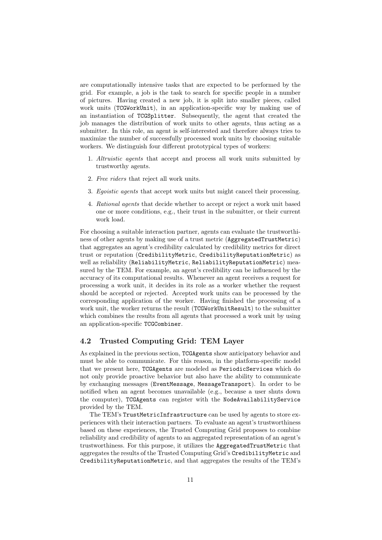are computationally intensive tasks that are expected to be performed by the grid. For example, a job is the task to search for specific people in a number of pictures. Having created a new job, it is split into smaller pieces, called work units (TCGWorkUnit), in an application-specific way by making use of an instantiation of TCGSplitter. Subsequently, the agent that created the job manages the distribution of work units to other agents, thus acting as a submitter. In this role, an agent is self-interested and therefore always tries to maximize the number of successfully processed work units by choosing suitable workers. We distinguish four different prototypical types of workers:

- 1. Altruistic agents that accept and process all work units submitted by trustworthy agents.
- 2. Free riders that reject all work units.
- 3. Egoistic agents that accept work units but might cancel their processing.
- 4. Rational agents that decide whether to accept or reject a work unit based one or more conditions, e.g., their trust in the submitter, or their current work load.

For choosing a suitable interaction partner, agents can evaluate the trustworthiness of other agents by making use of a trust metric (AggregatedTrustMetric) that aggregates an agent's credibility calculated by credibility metrics for direct trust or reputation (CredibilityMetric, CredibilityReputationMetric) as well as reliability (ReliabilityMetric, ReliabilityReputationMetric) measured by the TEM. For example, an agent's credibility can be influenced by the accuracy of its computational results. Whenever an agent receives a request for processing a work unit, it decides in its role as a worker whether the request should be accepted or rejected. Accepted work units can be processed by the corresponding application of the worker. Having finished the processing of a work unit, the worker returns the result (TCGWorkUnitResult) to the submitter which combines the results from all agents that processed a work unit by using an application-specific TCGCombiner.

#### 4.2 Trusted Computing Grid: TEM Layer

As explained in the previous section, TCGAgents show anticipatory behavior and must be able to communicate. For this reason, in the platform-specific model that we present here, TCGAgents are modeled as PeriodicServices which do not only provide proactive behavior but also have the ability to communicate by exchanging messages (EventMessage, MessageTransport). In order to be notified when an agent becomes unavailable (e.g., because a user shuts down the computer), TCGAgents can register with the NodeAvailabilityService provided by the TEM.

The TEM's TrustMetricInfrastructure can be used by agents to store experiences with their interaction partners. To evaluate an agent's trustworthiness based on these experiences, the Trusted Computing Grid proposes to combine reliability and credibility of agents to an aggregated representation of an agent's trustworthiness. For this purpose, it utilizes the AggregatedTrustMetric that aggregates the results of the Trusted Computing Grid's CredibilityMetric and CredibilityReputationMetric, and that aggregates the results of the TEM's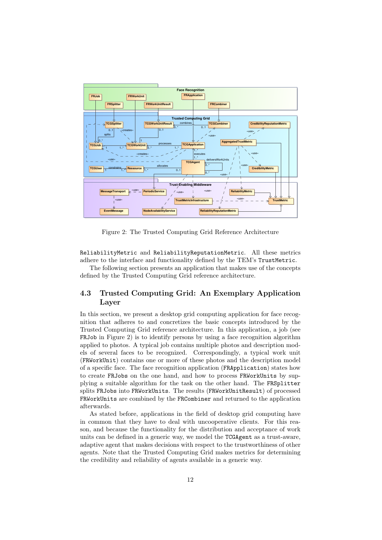

Figure 2: The Trusted Computing Grid Reference Architecture

ReliabilityMetric and ReliabilityReputationMetric. All these metrics adhere to the interface and functionality defined by the TEM's TrustMetric.

The following section presents an application that makes use of the concepts defined by the Trusted Computing Grid reference architecture.

#### 4.3 Trusted Computing Grid: An Exemplary Application Layer

In this section, we present a desktop grid computing application for face recognition that adheres to and concretizes the basic concepts introduced by the Trusted Computing Grid reference architecture. In this application, a job (see FRJob in Figure 2) is to identify persons by using a face recognition algorithm applied to photos. A typical job contains multiple photos and description models of several faces to be recognized. Correspondingly, a typical work unit (FRWorkUnit) contains one or more of these photos and the description model of a specific face. The face recognition application (FRApplication) states how to create FRJobs on the one hand, and how to process FRWorkUnits by supplying a suitable algorithm for the task on the other hand. The FRSplitter splits FRJobs into FRWorkUnits. The results (FRWorkUnitResult) of processed FRWorkUnits are combined by the FRCombiner and returned to the application afterwards.

As stated before, applications in the field of desktop grid computing have in common that they have to deal with uncooperative clients. For this reason, and because the functionality for the distribution and acceptance of work units can be defined in a generic way, we model the TCGAgent as a trust-aware, adaptive agent that makes decisions with respect to the trustworthiness of other agents. Note that the Trusted Computing Grid makes metrics for determining the credibility and reliability of agents available in a generic way.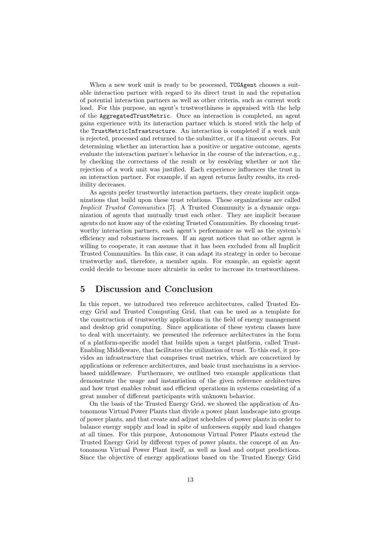When a new work unit is ready to be processed, TCGAgent chooses a suitable interaction partner with regard to its direct trust in and the reputation of potential interaction partners as well as other criteria, such as current work load. For this purpose, an agent's trustworthiness is appraised with the help of the AggregatedTrustMetric. Once an interaction is completed, an agent gains experience with its interaction partner which is stored with the help of the TrustMetricInfrastructure. An interaction is completed if a work unit is rejected, processed and returned to the submitter, or if a timeout occurs. For determining whether an interaction has a positive or negative outcome, agents evaluate the interaction partner's behavior in the course of the interaction, e.g., by checking the correctness of the result or by resolving whether or not the rejection of a work unit was justified. Each experience influences the trust in an interaction partner. For example, if an agent returns faulty results, its credibility decreases.

As agents prefer trustworthy interaction partners, they create implicit organizations that build upon these trust relations. These organizations are called Implicit Trusted Communities [7]. A Trusted Community is a dynamic organization of agents that mutually trust each other. They are implicit because agents do not know any of the existing Trusted Communities. By choosing trustworthy interaction partners, each agent's performance as well as the system's efficiency and robustness increases. If an agent notices that no other agent is willing to cooperate, it can assume that it has been excluded from all Implicit Trusted Communities. In this case, it can adapt its strategy in order to become trustworthy and, therefore, a member again. For example, an egoistic agent could decide to become more altruistic in order to increase its trustworthiness.

#### 5 Discussion and Conclusion

In this report, we introduced two reference architectures, called Trusted Energy Grid and Trusted Computing Grid, that can be used as a template for the construction of trustworthy applications in the field of energy management and desktop grid computing. Since applications of these system classes have to deal with uncertainty, we presented the reference architectures in the form of a platform-specific model that builds upon a target platform, called Trust-Enabling Middleware, that facilitates the utilization of trust. To this end, it provides an infrastructure that comprises trust metrics, which are concretized by applications or reference architectures, and basic trust mechanisms in a servicebased middleware. Furthermore, we outlined two example applications that demonstrate the usage and instantiation of the given reference architectures and how trust enables robust and efficient operations in systems consisting of a great number of different participants with unknown behavior.

On the basis of the Trusted Energy Grid, we showed the application of Autonomous Virtual Power Plants that divide a power plant landscape into groups of power plants, and that create and adjust schedules of power plants in order to balance energy supply and load in spite of unforeseen supply and load changes at all times. For this purpose, Autonomous Virtual Power Plants extend the Trusted Energy Grid by different types of power plants, the concept of an Autonomous Virtual Power Plant itself, as well as load and output predictions. Since the objective of energy applications based on the Trusted Energy Grid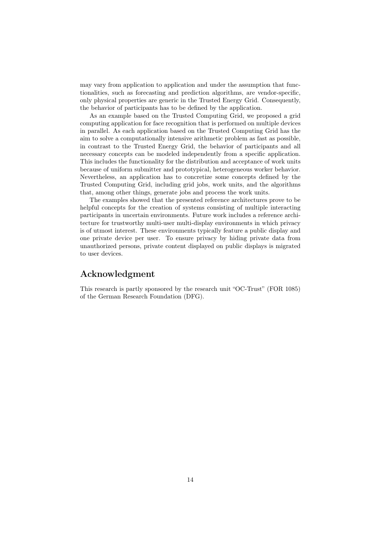may vary from application to application and under the assumption that functionalities, such as forecasting and prediction algorithms, are vendor-specific, only physical properties are generic in the Trusted Energy Grid. Consequently, the behavior of participants has to be defined by the application.

As an example based on the Trusted Computing Grid, we proposed a grid computing application for face recognition that is performed on multiple devices in parallel. As each application based on the Trusted Computing Grid has the aim to solve a computationally intensive arithmetic problem as fast as possible, in contrast to the Trusted Energy Grid, the behavior of participants and all necessary concepts can be modeled independently from a specific application. This includes the functionality for the distribution and acceptance of work units because of uniform submitter and prototypical, heterogeneous worker behavior. Nevertheless, an application has to concretize some concepts defined by the Trusted Computing Grid, including grid jobs, work units, and the algorithms that, among other things, generate jobs and process the work units.

The examples showed that the presented reference architectures prove to be helpful concepts for the creation of systems consisting of multiple interacting participants in uncertain environments. Future work includes a reference architecture for trustworthy multi-user multi-display environments in which privacy is of utmost interest. These environments typically feature a public display and one private device per user. To ensure privacy by hiding private data from unauthorized persons, private content displayed on public displays is migrated to user devices.

## Acknowledgment

This research is partly sponsored by the research unit "OC-Trust" (FOR 1085) of the German Research Foundation (DFG).